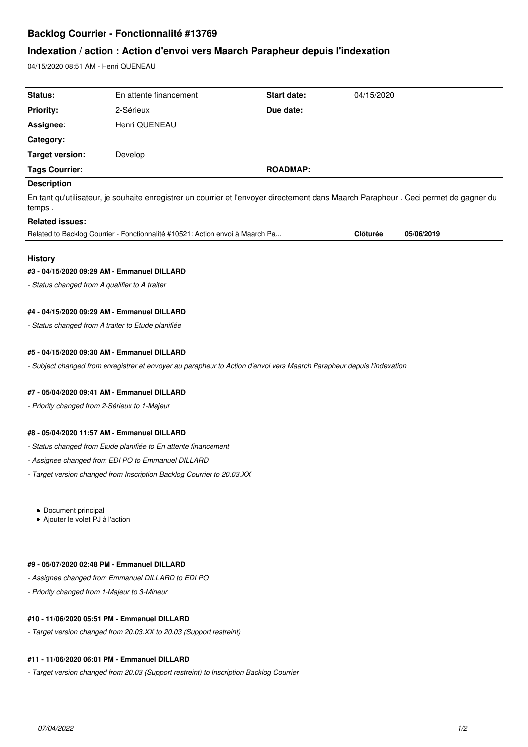# **Backlog Courrier - Fonctionnalité #13769**

# **Indexation / action : Action d'envoi vers Maarch Parapheur depuis l'indexation**

04/15/2020 08:51 AM - Henri QUENEAU

| Status:                                                                                                                                            | En attente financement | <b>Start date:</b> | 04/15/2020      |            |
|----------------------------------------------------------------------------------------------------------------------------------------------------|------------------------|--------------------|-----------------|------------|
| <b>Priority:</b>                                                                                                                                   | 2-Sérieux              | Due date:          |                 |            |
| Assignee:                                                                                                                                          | Henri QUENEAU          |                    |                 |            |
| Category:                                                                                                                                          |                        |                    |                 |            |
| Target version:                                                                                                                                    | Develop                |                    |                 |            |
| Tags Courrier:                                                                                                                                     |                        | <b>ROADMAP:</b>    |                 |            |
| <b>Description</b>                                                                                                                                 |                        |                    |                 |            |
| En tant qu'utilisateur, je souhaite enregistrer un courrier et l'envoyer directement dans Maarch Parapheur . Ceci permet de gagner du<br>l temps . |                        |                    |                 |            |
| Related issues:                                                                                                                                    |                        |                    |                 |            |
| Related to Backlog Courrier - Fonctionnalité #10521: Action envoi à Maarch Pa                                                                      |                        |                    | <b>Clôturée</b> | 05/06/2019 |

## **History**

## **#3 - 04/15/2020 09:29 AM - Emmanuel DILLARD**

*- Status changed from A qualifier to A traiter*

## **#4 - 04/15/2020 09:29 AM - Emmanuel DILLARD**

*- Status changed from A traiter to Etude planifiée*

#### **#5 - 04/15/2020 09:30 AM - Emmanuel DILLARD**

*- Subject changed from enregistrer et envoyer au parapheur to Action d'envoi vers Maarch Parapheur depuis l'indexation*

#### **#7 - 05/04/2020 09:41 AM - Emmanuel DILLARD**

*- Priority changed from 2-Sérieux to 1-Majeur*

## **#8 - 05/04/2020 11:57 AM - Emmanuel DILLARD**

- *Status changed from Etude planifiée to En attente financement*
- *Assignee changed from EDI PO to Emmanuel DILLARD*
- *Target version changed from Inscription Backlog Courrier to 20.03.XX*

• Document principal

Ajouter le volet PJ à l'action

#### **#9 - 05/07/2020 02:48 PM - Emmanuel DILLARD**

- *Assignee changed from Emmanuel DILLARD to EDI PO*
- *Priority changed from 1-Majeur to 3-Mineur*

## **#10 - 11/06/2020 05:51 PM - Emmanuel DILLARD**

*- Target version changed from 20.03.XX to 20.03 (Support restreint)*

### **#11 - 11/06/2020 06:01 PM - Emmanuel DILLARD**

*- Target version changed from 20.03 (Support restreint) to Inscription Backlog Courrier*